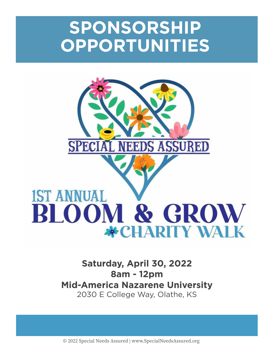# **SPONSORSHIP OPPORTUNITIES**



# **IST ANNUAL BLOOM & GROW \*CHARITY WALK**

## **Saturday, April 30, 2022 8am - 12pm Mid-America Nazarene University**  2030 E College Way, Olathe, KS

© 2022 Special Needs Assured | www.SpecialNeedsAssured.org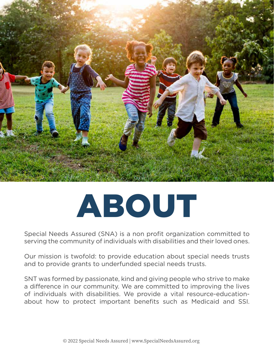

# ABOUT

Special Needs Assured (SNA) is a non profit organization committed to serving the community of individuals with disabilities and their loved ones.

Our mission is twofold: to provide education about special needs trusts and to provide grants to underfunded special needs trusts.

SNT was formed by passionate, kind and giving people who strive to make a difference in our community. We are committed to improving the lives of individuals with disabilities. We provide a vital resource-educationabout how to protect important benefits such as Medicaid and SSI.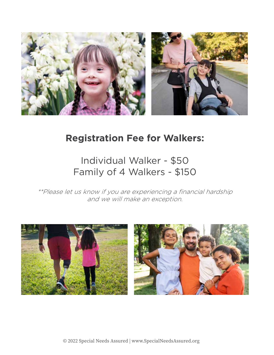

# **Registration Fee for Walkers:**

# Individual Walker - \$50 Family of 4 Walkers - \$150

\*\*Please let us know if you are experiencing a financial hardship and we will make an exception.

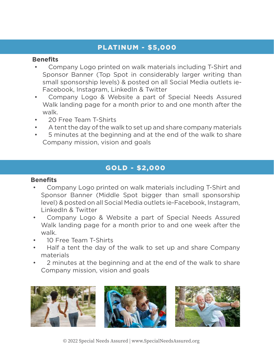#### PLATINUM - \$5,000

#### **Benefits**

- Company Logo printed on walk materials including T-Shirt and Sponsor Banner (Top Spot in considerably larger writing than small sponsorship levels) & posted on all Social Media outlets ie-Facebook, Instagram, LinkedIn & Twitter
- Company Logo & Website a part of Special Needs Assured Walk landing page for a month prior to and one month after the walk.
- 20 Free Team T-Shirts
- A tent the day of the walk to set up and share company materials
- 5 minutes at the beginning and at the end of the walk to share Company mission, vision and goals

## GOLD - \$2,000

#### **Benefits**

- Company Logo printed on walk materials including T-Shirt and Sponsor Banner (Middle Spot bigger than small sponsorship level) & posted on all Social Media outlets ie-Facebook, Instagram, LinkedIn & Twitter
- Company Logo & Website a part of Special Needs Assured Walk landing page for a month prior to and one week after the walk.
- 10 Free Team T-Shirts
- Half a tent the day of the walk to set up and share Company materials
- 2 minutes at the beginning and at the end of the walk to share Company mission, vision and goals

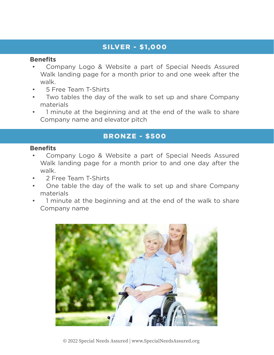#### SILVER - \$1,000

#### **Benefits**

- Company Logo & Website a part of Special Needs Assured Walk landing page for a month prior to and one week after the walk.
- 5 Free Team T-Shirts
- Two tables the day of the walk to set up and share Company materials
- 1 minute at the beginning and at the end of the walk to share Company name and elevator pitch

## BRONZE - \$500

#### **Benefits**

- Company Logo & Website a part of Special Needs Assured Walk landing page for a month prior to and one day after the walk.
- 2 Free Team T-Shirts
- One table the day of the walk to set up and share Company materials
- 1 minute at the beginning and at the end of the walk to share Company name